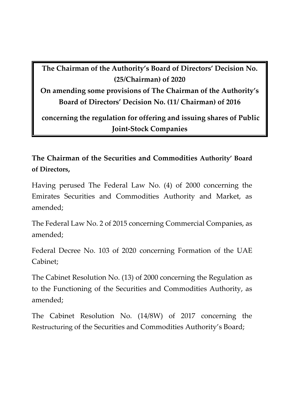**The Chairman of the Authority's Board of Directors' Decision No. (25/Chairman) of 2020** 

**On amending some provisions of The Chairman of the Authority's Board of Directors' Decision No. (11/ Chairman) of 2016**

**concerning the regulation for offering and issuing shares of Public Joint-Stock Companies**

**The Chairman of the Securities and Commodities Authority' Board of Directors,**

Having perused The Federal Law No. (4) of 2000 concerning the Emirates Securities and Commodities Authority and Market, as amended;

The Federal Law No. 2 of 2015 concerning Commercial Companies, as amended;

Federal Decree No. 103 of 2020 concerning Formation of the UAE Cabinet;

The Cabinet Resolution No. (13) of 2000 concerning the Regulation as to the Functioning of the Securities and Commodities Authority, as amended;

The Cabinet Resolution No. (14/8W) of 2017 concerning the Restructuring of the Securities and Commodities Authority's Board;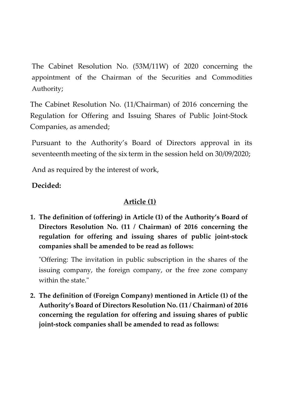The Cabinet Resolution No. (53M/11W) of 2020 concerning the appointment of the Chairman of the Securities and Commodities Authority;

The Cabinet Resolution No. (11/Chairman) of 2016 concerning the Regulation for Offering and Issuing Shares of Public Joint-Stock Companies, as amended;

Pursuant to the Authority's Board of Directors approval in its seventeenth meeting of the six term in the session held on 30/09/2020;

And as required by the interest of work,

## **Decided:**

## **Article (1)**

**1. The definition of (offering) in Article (1) of the Authority's Board of Directors Resolution No. (11 / Chairman) of 2016 concerning the regulation for offering and issuing shares of public joint-stock companies shall be amended to be read as follows:**

"Offering: The invitation in public subscription in the shares of the issuing company, the foreign company, or the free zone company within the state."

**2. The definition of (Foreign Company) mentioned in Article (1) of the Authority's Board of Directors Resolution No. (11 / Chairman) of 2016 concerning the regulation for offering and issuing shares of public joint-stock companies shall be amended to read as follows:**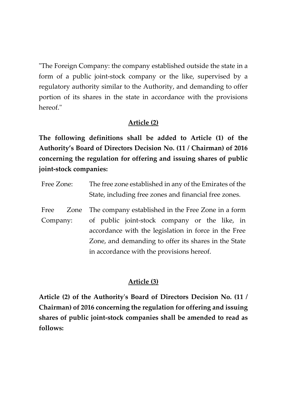"The Foreign Company: the company established outside the state in a form of a public joint-stock company or the like, supervised by a regulatory authority similar to the Authority, and demanding to offer portion of its shares in the state in accordance with the provisions hereof."

## **Article (2)**

**The following definitions shall be added to Article (1) of the Authority's Board of Directors Decision No. (11 / Chairman) of 2016 concerning the regulation for offering and issuing shares of public joint-stock companies:**

- Free Zone: The free zone established in any of the Emirates of the State, including free zones and financial free zones.
- Free Zone Company: The company established in the Free Zone in a form of public joint-stock company or the like, in accordance with the legislation in force in the Free Zone, and demanding to offer its shares in the State in accordance with the provisions hereof.

# **Article (3)**

**Article (2) of the Authority's Board of Directors Decision No. (11 / Chairman) of 2016 concerning the regulation for offering and issuing shares of public joint-stock companies shall be amended to read as follows:**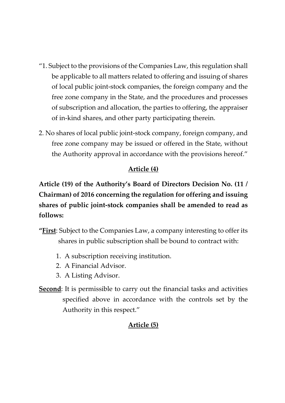- "1. Subject to the provisions of the Companies Law, this regulation shall be applicable to all matters related to offering and issuing of shares of local public joint-stock companies, the foreign company and the free zone company in the State, and the procedures and processes of subscription and allocation, the parties to offering, the appraiser of in-kind shares, and other party participating therein.
- 2. No shares of local public joint-stock company, foreign company, and free zone company may be issued or offered in the State, without the Authority approval in accordance with the provisions hereof."

### **Article (4)**

**Article (19) of the Authority's Board of Directors Decision No. (11 / Chairman) of 2016 concerning the regulation for offering and issuing shares of public joint-stock companies shall be amended to read as follows:**

- **"First**: Subject to the Companies Law, a company interesting to offer its shares in public subscription shall be bound to contract with:
	- 1. A subscription receiving institution.
	- 2. A Financial Advisor.
	- 3. A Listing Advisor.
- **Second**: It is permissible to carry out the financial tasks and activities specified above in accordance with the controls set by the Authority in this respect."

## **Article (5)**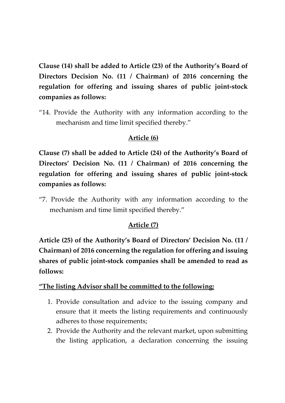**Clause (14) shall be added to Article (23) of the Authority's Board of Directors Decision No. (11 / Chairman) of 2016 concerning the regulation for offering and issuing shares of public joint-stock companies as follows:**

"14. Provide the Authority with any information according to the mechanism and time limit specified thereby."

## **Article (6)**

**Clause (7) shall be added to Article (24) of the Authority's Board of Directors' Decision No. (11 / Chairman) of 2016 concerning the regulation for offering and issuing shares of public joint-stock companies as follows:**

"7. Provide the Authority with any information according to the mechanism and time limit specified thereby."

## **Article (7)**

**Article (25) of the Authority's Board of Directors' Decision No. (11 / Chairman) of 2016 concerning the regulation for offering and issuing shares of public joint-stock companies shall be amended to read as follows:**

### **"The listing Advisor shall be committed to the following:**

- 1. Provide consultation and advice to the issuing company and ensure that it meets the listing requirements and continuously adheres to those requirements;
- 2. Provide the Authority and the relevant market, upon submitting the listing application, a declaration concerning the issuing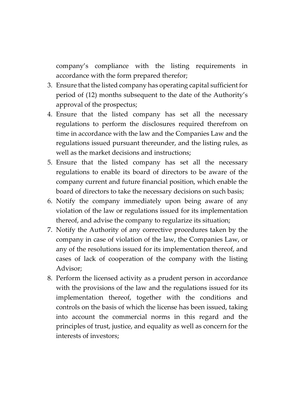company's compliance with the listing requirements in accordance with the form prepared therefor;

- 3. Ensure that the listed company has operating capital sufficient for period of (12) months subsequent to the date of the Authority's approval of the prospectus;
- 4. Ensure that the listed company has set all the necessary regulations to perform the disclosures required therefrom on time in accordance with the law and the Companies Law and the regulations issued pursuant thereunder, and the listing rules, as well as the market decisions and instructions;
- 5. Ensure that the listed company has set all the necessary regulations to enable its board of directors to be aware of the company current and future financial position, which enable the board of directors to take the necessary decisions on such basis;
- 6. Notify the company immediately upon being aware of any violation of the law or regulations issued for its implementation thereof, and advise the company to regularize its situation;
- 7. Notify the Authority of any corrective procedures taken by the company in case of violation of the law, the Companies Law, or any of the resolutions issued for its implementation thereof, and cases of lack of cooperation of the company with the listing Advisor;
- 8. Perform the licensed activity as a prudent person in accordance with the provisions of the law and the regulations issued for its implementation thereof, together with the conditions and controls on the basis of which the license has been issued, taking into account the commercial norms in this regard and the principles of trust, justice, and equality as well as concern for the interests of investors;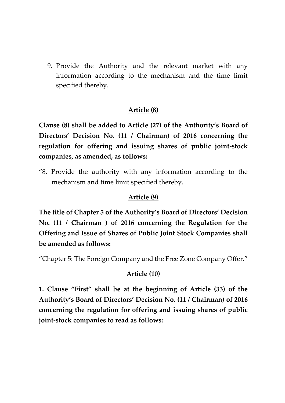9. Provide the Authority and the relevant market with any information according to the mechanism and the time limit specified thereby.

#### **Article (8)**

**Clause (8) shall be added to Article (27) of the Authority's Board of Directors' Decision No. (11 / Chairman) of 2016 concerning the regulation for offering and issuing shares of public joint-stock companies, as amended, as follows:**

"8. Provide the authority with any information according to the mechanism and time limit specified thereby.

#### **Article (9)**

**The title of Chapter 5 of the Authority's Board of Directors' Decision No. (11 / Chairman ) of 2016 concerning the Regulation for the Offering and Issue of Shares of Public Joint Stock Companies shall be amended as follows:**

"Chapter 5: The Foreign Company and the Free Zone Company Offer."

#### **Article (10)**

**1. Clause "First" shall be at the beginning of Article (33) of the Authority's Board of Directors' Decision No. (11 / Chairman) of 2016 concerning the regulation for offering and issuing shares of public joint-stock companies to read as follows:**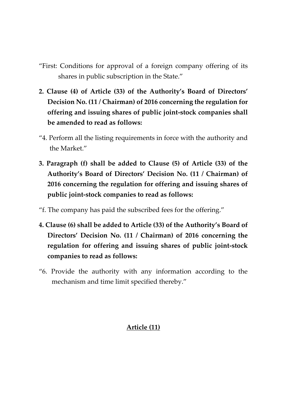- "First: Conditions for approval of a foreign company offering of its shares in public subscription in the State."
- **2. Clause (4) of Article (33) of the Authority's Board of Directors' Decision No. (11 / Chairman) of 2016 concerning the regulation for offering and issuing shares of public joint-stock companies shall be amended to read as follows:**
- "4. Perform all the listing requirements in force with the authority and the Market."
- **3. Paragraph (f) shall be added to Clause (5) of Article (33) of the Authority's Board of Directors' Decision No. (11 / Chairman) of 2016 concerning the regulation for offering and issuing shares of public joint-stock companies to read as follows:**
- "f. The company has paid the subscribed fees for the offering."
- **4. Clause (6) shall be added to Article (33) of the Authority's Board of Directors' Decision No. (11 / Chairman) of 2016 concerning the regulation for offering and issuing shares of public joint-stock companies to read as follows:**
- "6. Provide the authority with any information according to the mechanism and time limit specified thereby."

## **Article (11)**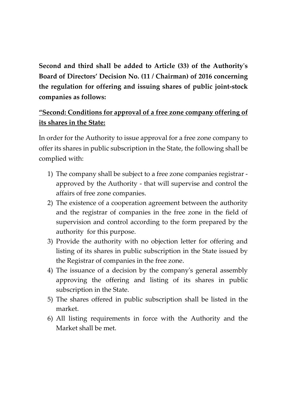**Second and third shall be added to Article (33) of the Authority's Board of Directors' Decision No. (11 / Chairman) of 2016 concerning the regulation for offering and issuing shares of public joint-stock companies as follows:**

# **"Second: Conditions for approval of a free zone company offering of its shares in the State:**

In order for the Authority to issue approval for a free zone company to offer its shares in public subscription in the State, the following shall be complied with:

- 1) The company shall be subject to a free zone companies registrar approved by the Authority - that will supervise and control the affairs of free zone companies.
- 2) The existence of a cooperation agreement between the authority and the registrar of companies in the free zone in the field of supervision and control according to the form prepared by the authority for this purpose.
- 3) Provide the authority with no objection letter for offering and listing of its shares in public subscription in the State issued by the Registrar of companies in the free zone.
- 4) The issuance of a decision by the company's general assembly approving the offering and listing of its shares in public subscription in the State.
- 5) The shares offered in public subscription shall be listed in the market.
- 6) All listing requirements in force with the Authority and the Market shall be met.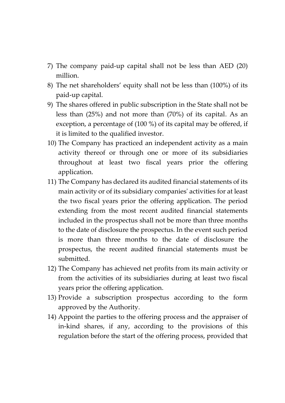- 7) The company paid-up capital shall not be less than AED (20) million.
- 8) The net shareholders' equity shall not be less than (100%) of its paid-up capital.
- 9) The shares offered in public subscription in the State shall not be less than (25%) and not more than (70%) of its capital. As an exception, a percentage of (100 %) of its capital may be offered, if it is limited to the qualified investor.
- 10) The Company has practiced an independent activity as a main activity thereof or through one or more of its subsidiaries throughout at least two fiscal years prior the offering application.
- 11) The Company has declared its audited financial statements of its main activity or of its subsidiary companies' activities for at least the two fiscal years prior the offering application. The period extending from the most recent audited financial statements included in the prospectus shall not be more than three months to the date of disclosure the prospectus. In the event such period is more than three months to the date of disclosure the prospectus, the recent audited financial statements must be submitted.
- 12) The Company has achieved net profits from its main activity or from the activities of its subsidiaries during at least two fiscal years prior the offering application.
- 13) Provide a subscription prospectus according to the form approved by the Authority.
- 14) Appoint the parties to the offering process and the appraiser of in-kind shares, if any, according to the provisions of this regulation before the start of the offering process, provided that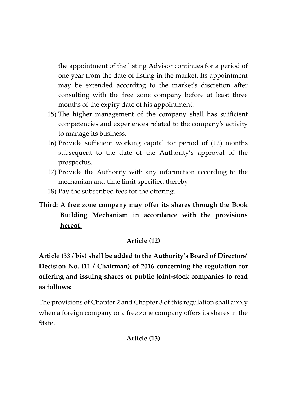the appointment of the listing Advisor continues for a period of one year from the date of listing in the market. Its appointment may be extended according to the market's discretion after consulting with the free zone company before at least three months of the expiry date of his appointment.

- 15) The higher management of the company shall has sufficient competencies and experiences related to the company's activity to manage its business.
- 16) Provide sufficient working capital for period of (12) months subsequent to the date of the Authority's approval of the prospectus.
- 17) Provide the Authority with any information according to the mechanism and time limit specified thereby.
- 18) Pay the subscribed fees for the offering.

## **Third: A free zone company may offer its shares through the Book Building Mechanism in accordance with the provisions hereof.**

## **Article (12)**

**Article (33 / bis) shall be added to the Authority's Board of Directors' Decision No. (11 / Chairman) of 2016 concerning the regulation for offering and issuing shares of public joint-stock companies to read as follows:**

The provisions of Chapter 2 and Chapter 3 of this regulation shall apply when a foreign company or a free zone company offers its shares in the State.

## **Article (13)**